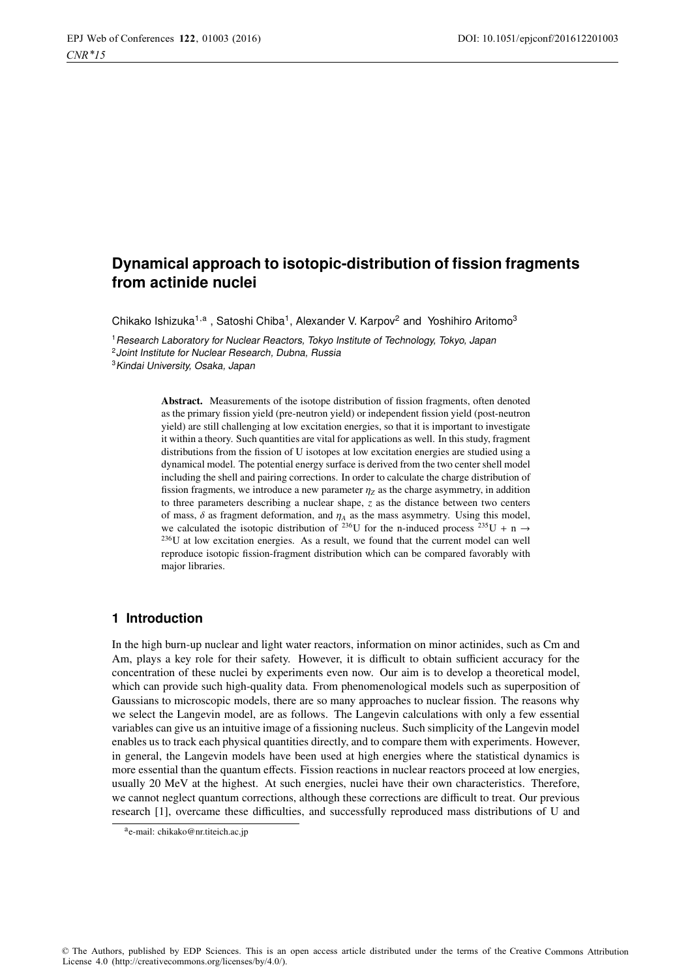# **Dynamical approach to isotopic-distribution of fission fragments from actinide nuclei**

Chikako Ishizuka<sup>1,a</sup>, Satoshi Chiba<sup>1</sup>, Alexander V. Karpov<sup>2</sup> and Yoshihiro Aritomo<sup>3</sup>

<sup>1</sup> Research Laboratory for Nuclear Reactors, Tokyo Institute of Technology, Tokyo, Japan <sup>2</sup> Joint Institute for Nuclear Research, Dubna, Russia <sup>3</sup>Kindai University, Osaka, Japan

> Abstract. Measurements of the isotope distribution of fission fragments, often denoted as the primary fission yield (pre-neutron yield) or independent fission yield (post-neutron yield) are still challenging at low excitation energies, so that it is important to investigate it within a theory. Such quantities are vital for applications as well. In this study, fragment distributions from the fission of U isotopes at low excitation energies are studied using a dynamical model. The potential energy surface is derived from the two center shell model including the shell and pairing corrections. In order to calculate the charge distribution of fission fragments, we introduce a new parameter  $\eta_Z$  as the charge asymmetry, in addition to three parameters describing a nuclear shape, *z* as the distance between two centers of mass,  $\delta$  as fragment deformation, and  $\eta_A$  as the mass asymmetry. Using this model, we calculated the isotopic distribution of <sup>236</sup>U for the n-induced process <sup>235</sup>U + n  $\rightarrow$  $236U$  at low excitation energies. As a result, we found that the current model can well reproduce isotopic fission-fragment distribution which can be compared favorably with major libraries.

## **1 Introduction**

In the high burn-up nuclear and light water reactors, information on minor actinides, such as Cm and Am, plays a key role for their safety. However, it is difficult to obtain sufficient accuracy for the concentration of these nuclei by experiments even now. Our aim is to develop a theoretical model, which can provide such high-quality data. From phenomenological models such as superposition of Gaussians to microscopic models, there are so many approaches to nuclear fission. The reasons why we select the Langevin model, are as follows. The Langevin calculations with only a few essential variables can give us an intuitive image of a fissioning nucleus. Such simplicity of the Langevin model enables us to track each physical quantities directly, and to compare them with experiments. However, in general, the Langevin models have been used at high energies where the statistical dynamics is more essential than the quantum effects. Fission reactions in nuclear reactors proceed at low energies, usually 20 MeV at the highest. At such energies, nuclei have their own characteristics. Therefore, we cannot neglect quantum corrections, although these corrections are difficult to treat. Our previous research [1], overcame these difficulties, and successfully reproduced mass distributions of U and

ae-mail: [chikako@nr.titeich.ac.jp](mailto:chikako@nr.titeich.ac.jp)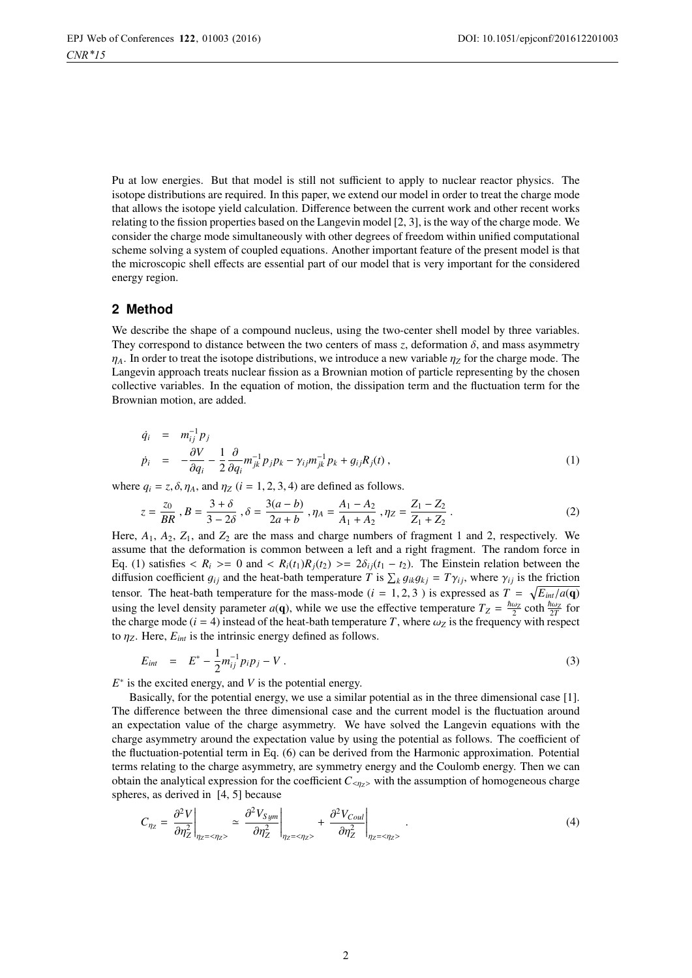Pu at low energies. But that model is still not sufficient to apply to nuclear reactor physics. The isotope distributions are required. In this paper, we extend our model in order to treat the charge mode that allows the isotope yield calculation. Difference between the current work and other recent works relating to the fission properties based on the Langevin model [2, 3], is the way of the charge mode. We consider the charge mode simultaneously with other degrees of freedom within unified computational scheme solving a system of coupled equations. Another important feature of the present model is that the microscopic shell effects are essential part of our model that is very important for the considered energy region.

## **2 Method**

We describe the shape of a compound nucleus, using the two-center shell model by three variables. They correspond to distance between the two centers of mass *z*, deformation  $\delta$ , and mass asymmetry  $\eta_A$ . In order to treat the isotope distributions, we introduce a new variable  $\eta_Z$  for the charge mode. The Langevin approach treats nuclear fission as a Brownian motion of particle representing by the chosen collective variables. In the equation of motion, the dissipation term and the fluctuation term for the Brownian motion, are added.

$$
\dot{q}_i = m_{ij}^{-1} p_j
$$
\n
$$
\dot{p}_i = -\frac{\partial V}{\partial q_i} - \frac{1}{2} \frac{\partial}{\partial q_i} m_{jk}^{-1} p_j p_k - \gamma_{ij} m_{jk}^{-1} p_k + g_{ij} R_j(t) ,
$$
\n(1)

where  $q_i = z$ ,  $\delta$ ,  $\eta_A$ , and  $\eta_Z$  ( $i = 1, 2, 3, 4$ ) are defined as follows.

$$
z = \frac{z_0}{BR}, B = \frac{3+\delta}{3-2\delta}, \delta = \frac{3(a-b)}{2a+b}, \eta_A = \frac{A_1 - A_2}{A_1 + A_2}, \eta_Z = \frac{Z_1 - Z_2}{Z_1 + Z_2}.
$$
 (2)  
Here,  $A_1$ ,  $A_2$ ,  $Z_1$ , and  $Z_2$  are the mass and charge numbers of fragment 1 and 2, respectively. We

assume that the deformation is common between a left and a right fragment. The random force in Eq. (1) satisfies  $\langle R_i \rangle = 0$  and  $\langle R_i(t_1)R_j(t_2) \rangle = 2\delta_{ij}(t_1 - t_2)$ . The Einstein relation between the diffusion coefficient  $g_{ij}$  and the heat-bath temperature  $\hat{T}$  is  $\sum_k g_{ik}g_{kj} = T\gamma_{ij}$ , where  $\gamma_{ij}$  is the friction tensor. The heat bath temperature for the mass mode  $(i - 1, 2, 3)$  is expressed as  $T = \sqrt{F_{ij}/g(\alpha)}$ tensor. The heat-bath temperature for the mass-mode (*i* = 1, 2, 3) is expressed as  $T = \sqrt{E_{int}/a(\mathbf{q})}$ <br>using the layel density parameter  $a(\mathbf{q})$ , while we use the effective temperature  $T = \hbar \omega_z$  eath  $\hbar \omega_z$  for using the level density parameter *a*(**q**), while we use the effective temperature  $T_Z = \frac{\hbar \omega_Z}{2} \coth \frac{\hbar \omega_Z}{2T}$  for the charge mode *(i - A*) instead of the heat-bath temperature *T*, where  $\omega_Z$  is the frequency with the charge mode ( $i = 4$ ) instead of the heat-bath temperature *T*, where  $\omega_Z$  is the frequency with respect to  $\eta$ <sub>Z</sub>. Here,  $E_{int}$  is the intrinsic energy defined as follows.

$$
E_{int} = E^* - \frac{1}{2} m_{ij}^{-1} p_i p_j - V \,. \tag{3}
$$

*E*<sup>∗</sup> is the excited energy, and *V* is the potential energy.

Basically, for the potential energy, we use a similar potential as in the three dimensional case [1]. The difference between the three dimensional case and the current model is the fluctuation around an expectation value of the charge asymmetry. We have solved the Langevin equations with the charge asymmetry around the expectation value by using the potential as follows. The coefficient of the fluctuation-potential term in Eq. (6) can be derived from the Harmonic approximation. Potential terms relating to the charge asymmetry, are symmetry energy and the Coulomb energy. Then we can obtain the analytical expression for the coefficient  $C_{\langle \eta_Z \rangle}$  with the assumption of homogeneous charge spheres, as derived in [4, 5] because

$$
C_{\eta z} = \frac{\partial^2 V}{\partial \eta_z^2}\bigg|_{\eta_z = \langle \eta_z \rangle} \simeq \left. \frac{\partial^2 V_{Sym}}{\partial \eta_z^2}\right|_{\eta_z = \langle \eta_z \rangle} + \left. \frac{\partial^2 V_{Coul}}{\partial \eta_z^2}\right|_{\eta_z = \langle \eta_z \rangle}.
$$
 (4)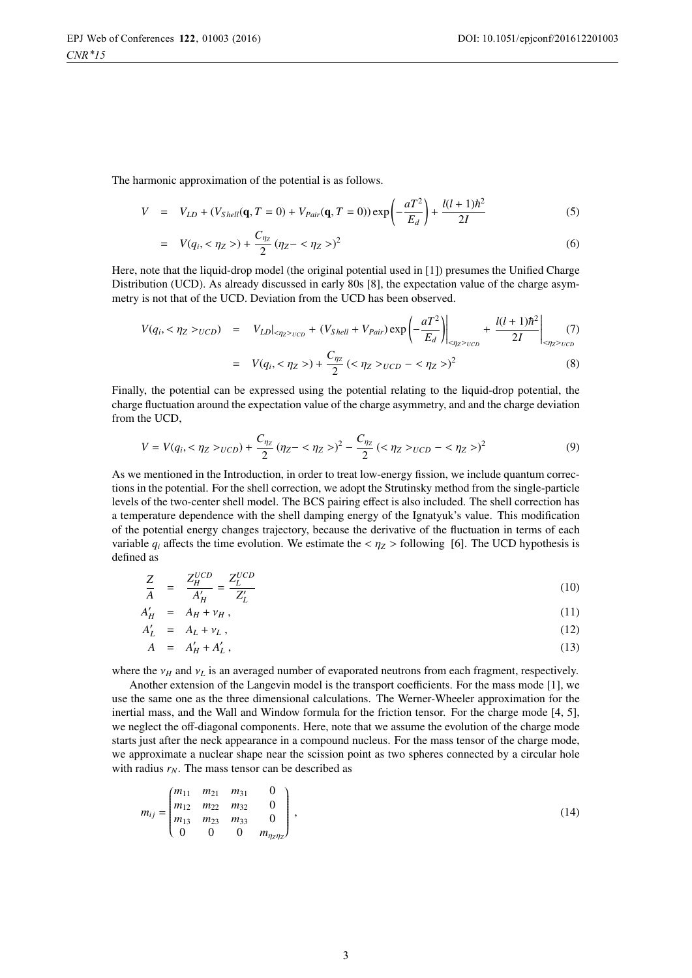The harmonic approximation of the potential is as follows.

$$
V = V_{LD} + (V_{Shell}(\mathbf{q}, T = 0) + V_{Pair}(\mathbf{q}, T = 0)) \exp\left(-\frac{aT^2}{E_d}\right) + \frac{l(l+1)\hbar^2}{2I}
$$
 (5)

$$
= V(q_i, <\eta_Z>) + \frac{C_{\eta_Z}}{2} (\eta_Z - <\eta_Z>)^2
$$
\n(6)

Here, note that the liquid-drop model (the original potential used in [1]) presumes the Unified Charge Distribution (UCD). As already discussed in early 80s [8], the expectation value of the charge asymmetry is not that of the UCD. Deviation from the UCD has been observed.

$$
V(q_i, <\eta_Z >_{UCD}) = V_{LD}|_{<\eta_Z >_{UCD}} + (V_{Shell} + V_{Pair}) \exp\left(-\frac{aT^2}{E_d}\right)\Big|_{<\eta_Z >_{UCD}} + \frac{l(l+1)\hbar^2}{2I}\Big|_{<\eta_Z >_{UCD}} \tag{7}
$$

$$
= V(q_i, <\eta_Z>) + \frac{C_{\eta_Z}}{2} (<\eta_Z>_{UCD} - <\eta_Z>)^2
$$
\n(8)

Finally, the potential can be expressed using the potential relating to the liquid-drop potential, the charge fluctuation around the expectation value of the charge asymmetry, and and the charge deviation from the UCD,

$$
V = V(q_i, < \eta_Z >_{UCD}) + \frac{C_{\eta_Z}}{2} (\eta_Z - < \eta_Z >)^2 - \frac{C_{\eta_Z}}{2} (\langle \eta_Z >_{UCD} - < \eta_Z >)^2 \tag{9}
$$

As we mentioned in the Introduction, in order to treat low-energy fission, we include quantum corrections in the potential. For the shell correction, we adopt the Strutinsky method from the single-particle levels of the two-center shell model. The BCS pairing effect is also included. The shell correction has a temperature dependence with the shell damping energy of the Ignatyuk's value. This modification of the potential energy changes trajectory, because the derivative of the fluctuation in terms of each variable  $q_i$  affects the time evolution. We estimate the  $\langle \eta_Z \rangle$  following [6]. The UCD hypothesis is defined as

$$
\frac{Z}{A} = \frac{Z_H^{UCD}}{A_H'} = \frac{Z_L^{UCD}}{Z_L'}\tag{10}
$$

$$
A'_H = A_H + v_H, \tag{11}
$$

$$
A'_{L} = A_{L} + \nu_{L}, \tag{12}
$$

$$
A = A'_H + A'_L, \tag{13}
$$

where the  $v_H$  and  $v_L$  is an averaged number of evaporated neutrons from each fragment, respectively.

Another extension of the Langevin model is the transport coefficients. For the mass mode [1], we use the same one as the three dimensional calculations. The Werner-Wheeler approximation for the inertial mass, and the Wall and Window formula for the friction tensor. For the charge mode [4, 5], we neglect the off-diagonal components. Here, note that we assume the evolution of the charge mode starts just after the neck appearance in a compound nucleus. For the mass tensor of the charge mode, we approximate a nuclear shape near the scission point as two spheres connected by a circular hole with radius  $r_N$ . The mass tensor can be described as

$$
m_{ij} = \begin{pmatrix} m_{11} & m_{21} & m_{31} & 0 \\ m_{12} & m_{22} & m_{32} & 0 \\ m_{13} & m_{23} & m_{33} & 0 \\ 0 & 0 & 0 & m_{\eta z \eta z} \end{pmatrix},
$$
(14)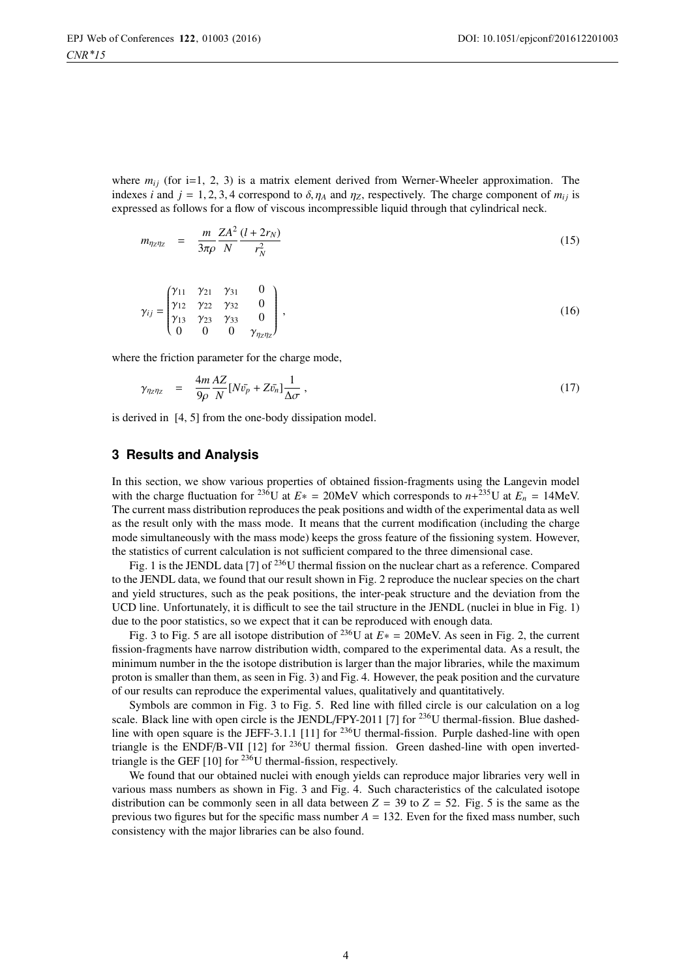where  $m_{ij}$  (for i=1, 2, 3) is a matrix element derived from Werner-Wheeler approximation. The indexes *i* and  $j = 1, 2, 3, 4$  correspond to  $\delta, \eta_A$  and  $\eta_Z$ , respectively. The charge component of  $m_{ij}$  is expressed as follows for a flow of viscous incompressible liquid through that cylindrical neck.

$$
m_{\eta_Z \eta_Z} = \frac{m}{3\pi \rho} \frac{ZA^2}{N} \frac{(l+2r_N)}{r_N^2}
$$
 (15)

$$
\gamma_{ij} = \begin{pmatrix} \gamma_{11} & \gamma_{21} & \gamma_{31} & 0 \\ \gamma_{12} & \gamma_{22} & \gamma_{32} & 0 \\ \gamma_{13} & \gamma_{23} & \gamma_{33} & 0 \\ 0 & 0 & 0 & \gamma_{\eta_{2}\eta_{2}} \end{pmatrix},
$$
\n(16)

where the friction parameter for the charge mode,

$$
\gamma_{\eta_Z \eta_Z} = \frac{4m}{9\rho} \frac{AZ}{N} [N\bar{v_p} + Z\bar{v_n}] \frac{1}{\Delta \sigma}, \qquad (17)
$$

is derived in [4, 5] from the one-body dissipation model.

#### **3 Results and Analysis**

In this section, we show various properties of obtained fission-fragments using the Langevin model with the charge fluctuation for <sup>236</sup>U at  $E* = 20$ MeV which corresponds to  $n+^{235}$ U at  $E_n = 14$ MeV. The current mass distribution reproduces the peak positions and width of the experimental data as well as the result only with the mass mode. It means that the current modification (including the charge mode simultaneously with the mass mode) keeps the gross feature of the fissioning system. However, the statistics of current calculation is not sufficient compared to the three dimensional case.

Fig. 1 is the JENDL data [7] of  $^{236}$ U thermal fission on the nuclear chart as a reference. Compared to the JENDL data, we found that our result shown in Fig. 2 reproduce the nuclear species on the chart and yield structures, such as the peak positions, the inter-peak structure and the deviation from the UCD line. Unfortunately, it is difficult to see the tail structure in the JENDL (nuclei in blue in Fig. 1) due to the poor statistics, so we expect that it can be reproduced with enough data.

Fig. 3 to Fig. 5 are all isotope distribution of 236U at *<sup>E</sup>*<sup>∗</sup> <sup>=</sup> 20MeV. As seen in Fig. 2, the current fission-fragments have narrow distribution width, compared to the experimental data. As a result, the minimum number in the the isotope distribution is larger than the major libraries, while the maximum proton is smaller than them, as seen in Fig. 3) and Fig. 4. However, the peak position and the curvature of our results can reproduce the experimental values, qualitatively and quantitatively.

Symbols are common in Fig. 3 to Fig. 5. Red line with filled circle is our calculation on a log scale. Black line with open circle is the JENDL/FPY-2011 [7] for <sup>236</sup>U thermal-fission. Blue dashedline with open square is the JEFF-3.1.1 [11] for <sup>236</sup>U thermal-fission. Purple dashed-line with open triangle is the ENDF/B-VII [12] for  $^{236}U$  thermal fission. Green dashed-line with open invertedtriangle is the GEF  $[10]$  for <sup>236</sup>U thermal-fission, respectively.

We found that our obtained nuclei with enough yields can reproduce major libraries very well in various mass numbers as shown in Fig. 3 and Fig. 4. Such characteristics of the calculated isotope distribution can be commonly seen in all data between  $Z = 39$  to  $Z = 52$ . Fig. 5 is the same as the previous two figures but for the specific mass number  $A = 132$ . Even for the fixed mass number, such consistency with the major libraries can be also found.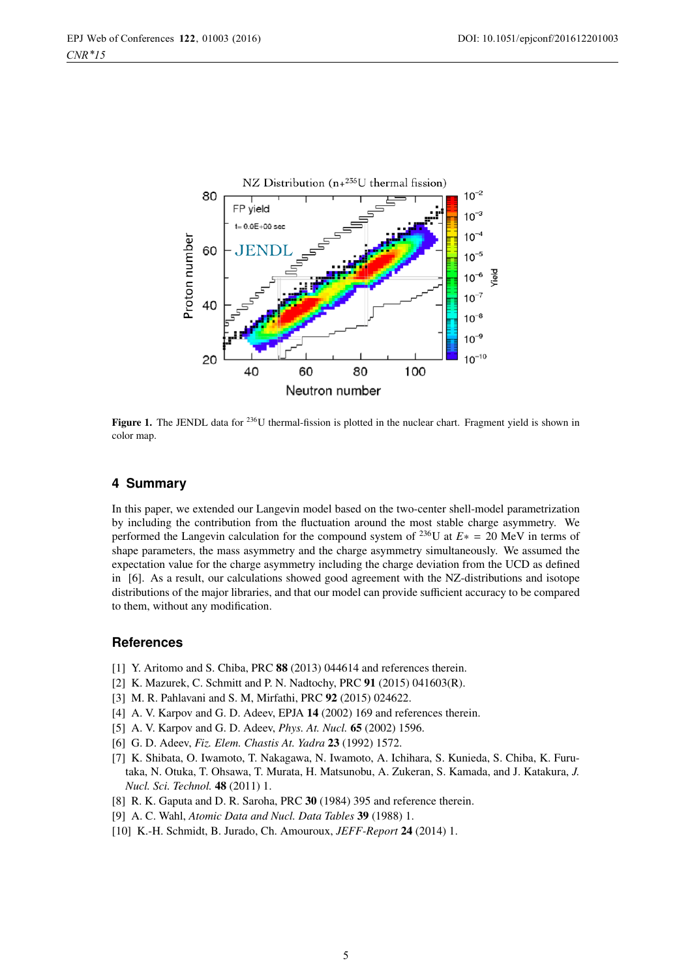

**Figure 1.** The JENDL data for <sup>236</sup>U thermal-fission is plotted in the nuclear chart. Fragment yield is shown in color map.

## **4 Summary**

In this paper, we extended our Langevin model based on the two-center shell-model parametrization by including the contribution from the fluctuation around the most stable charge asymmetry. We performed the Langevin calculation for the compound system of 236U at *<sup>E</sup>*<sup>∗</sup> <sup>=</sup> 20 MeV in terms of shape parameters, the mass asymmetry and the charge asymmetry simultaneously. We assumed the expectation value for the charge asymmetry including the charge deviation from the UCD as defined in [6]. As a result, our calculations showed good agreement with the NZ-distributions and isotope distributions of the major libraries, and that our model can provide sufficient accuracy to be compared to them, without any modification.

### **References**

- [1] Y. Aritomo and S. Chiba, PRC 88 (2013) 044614 and references therein.
- [2] K. Mazurek, C. Schmitt and P. N. Nadtochy, PRC 91 (2015) 041603(R).
- [3] M. R. Pahlavani and S. M, Mirfathi, PRC 92 (2015) 024622.
- [4] A. V. Karpov and G. D. Adeev, EPJA 14 (2002) 169 and references therein.
- [5] A. V. Karpov and G. D. Adeev, *Phys. At. Nucl.* 65 (2002) 1596.
- [6] G. D. Adeev, *Fiz. Elem. Chastis At. Yadra* 23 (1992) 1572.
- [7] K. Shibata, O. Iwamoto, T. Nakagawa, N. Iwamoto, A. Ichihara, S. Kunieda, S. Chiba, K. Furutaka, N. Otuka, T. Ohsawa, T. Murata, H. Matsunobu, A. Zukeran, S. Kamada, and J. Katakura, *J. Nucl. Sci. Technol.* 48 (2011) 1.
- [8] R. K. Gaputa and D. R. Saroha, PRC 30 (1984) 395 and reference therein.
- [9] A. C. Wahl, *Atomic Data and Nucl. Data Tables* 39 (1988) 1.
- [10] K.-H. Schmidt, B. Jurado, Ch. Amouroux, *JEFF-Report* 24 (2014) 1.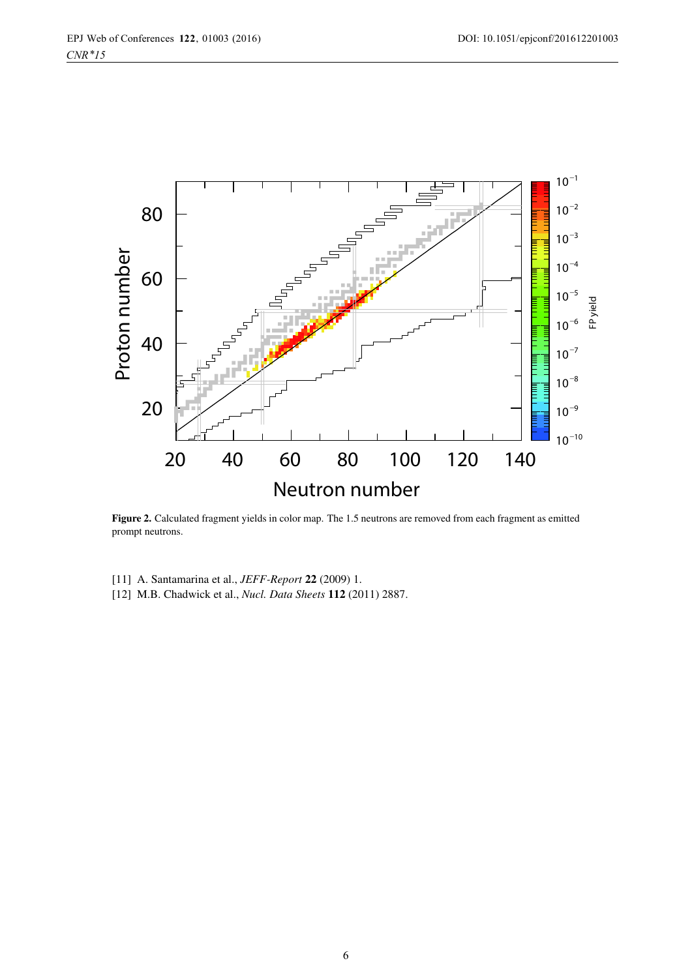

Figure 2. Calculated fragment yields in color map. The 1.5 neutrons are removed from each fragment as emitted prompt neutrons.

- [11] A. Santamarina et al., *JEFF-Report* 22 (2009) 1.
- [12] M.B. Chadwick et al., *Nucl. Data Sheets* 112 (2011) 2887.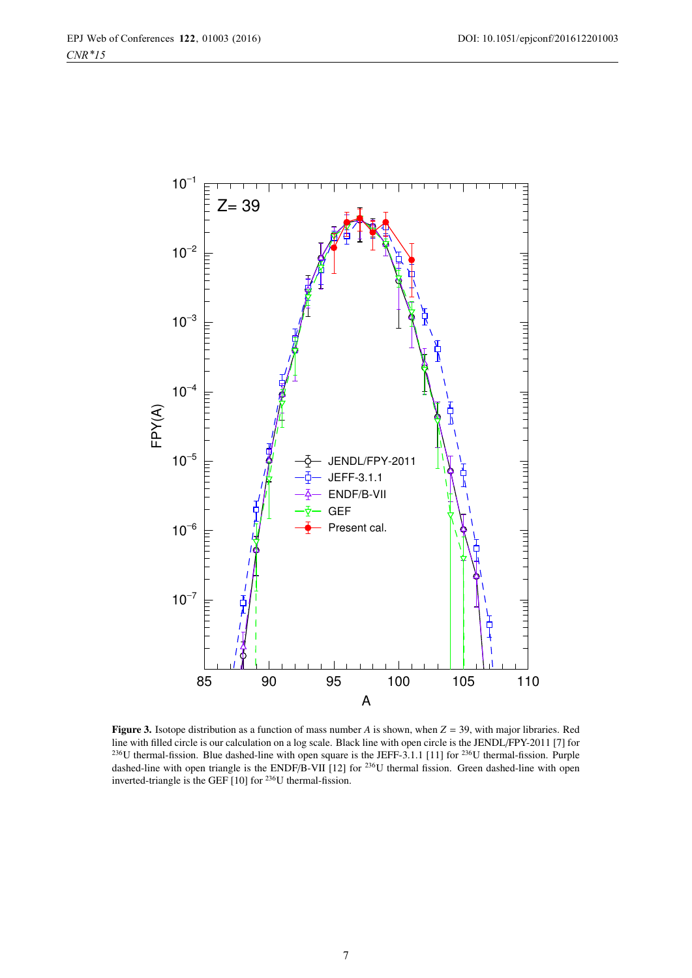

Figure 3. Isotope distribution as a function of mass number *<sup>A</sup>* is shown, when *<sup>Z</sup>* <sup>=</sup> 39, with major libraries. Red line with filled circle is our calculation on a log scale. Black line with open circle is the JENDL/FPY-2011 [7] for <sup>236</sup>U thermal-fission. Blue dashed-line with open square is the JEFF-3.1.1 [11] for <sup>236</sup>U thermal-fission. Purple dashed-line with open triangle is the ENDF/B-VII [12] for <sup>236</sup>U thermal fission. Green dashed-line with open inverted-triangle is the GEF [10] for 236U thermal-fission.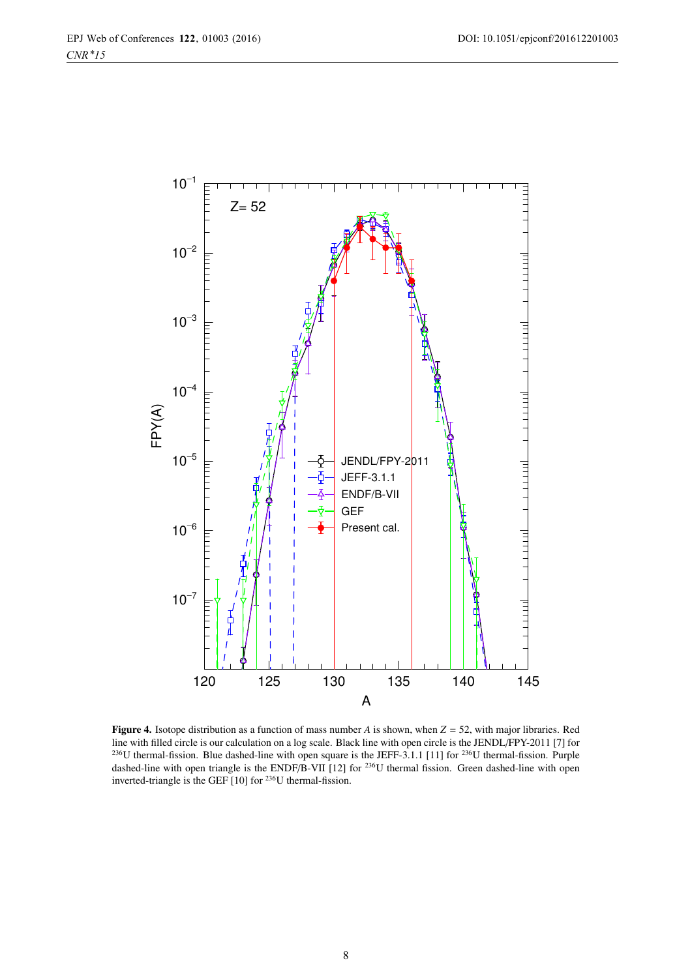

Figure 4. Isotope distribution as a function of mass number *<sup>A</sup>* is shown, when *<sup>Z</sup>* <sup>=</sup> 52, with major libraries. Red line with filled circle is our calculation on a log scale. Black line with open circle is the JENDL/FPY-2011 [7] for <sup>236</sup>U thermal-fission. Blue dashed-line with open square is the JEFF-3.1.1 [11] for <sup>236</sup>U thermal-fission. Purple dashed-line with open triangle is the ENDF/B-VII [12] for <sup>236</sup>U thermal fission. Green dashed-line with open inverted-triangle is the GEF [10] for 236U thermal-fission.